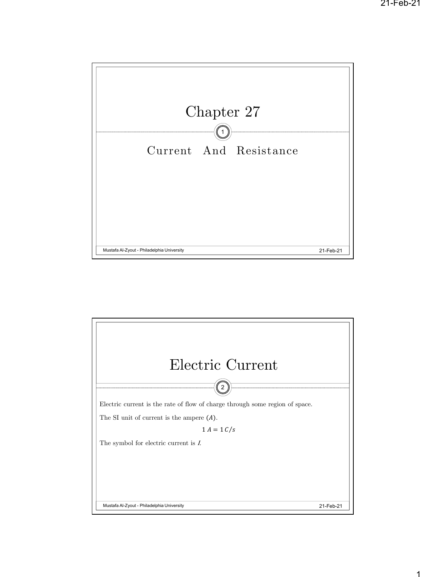

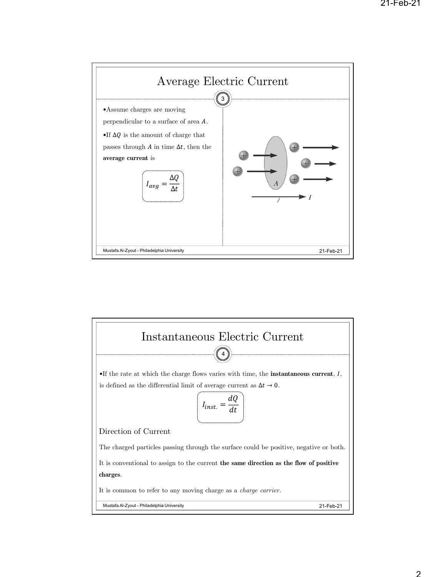

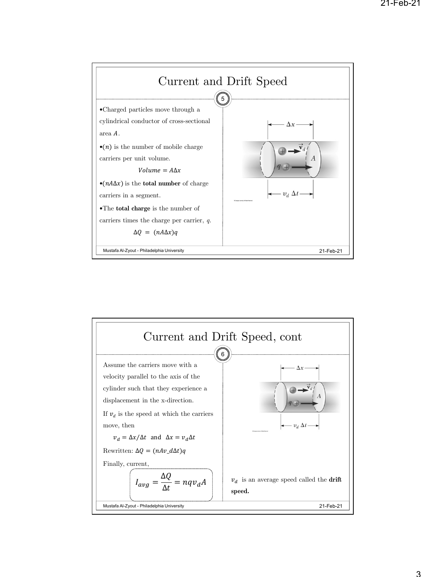

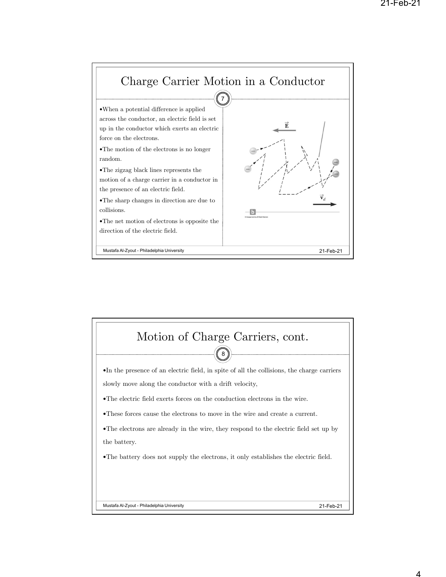

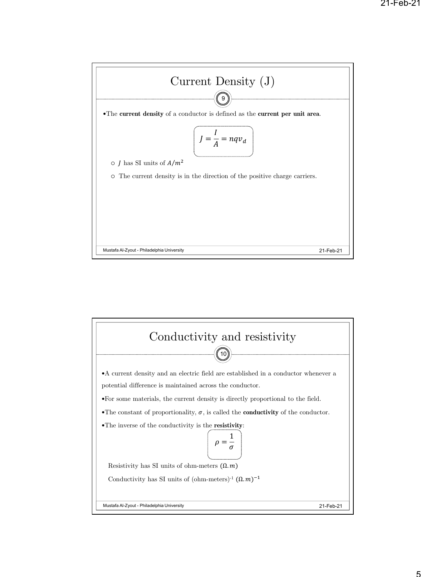

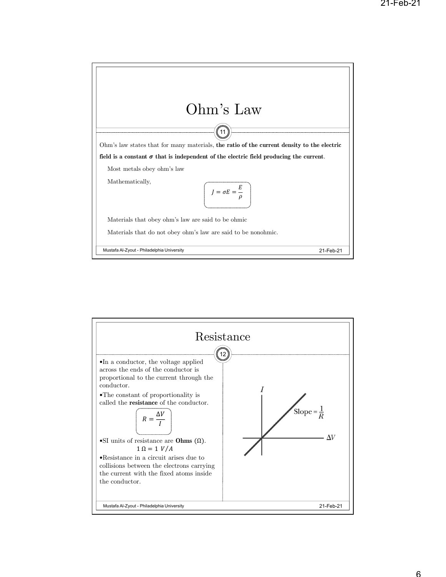

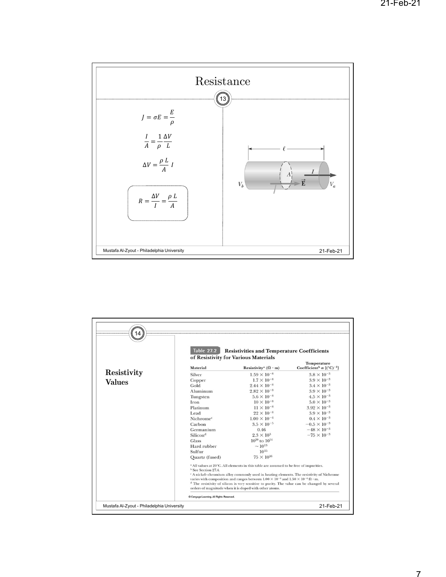

|               | Table 27.2 Resistivities and Temperature Coefficients<br>of Resistivity for Various Materials                                                                      |                                                                                                             |                                                                               |
|---------------|--------------------------------------------------------------------------------------------------------------------------------------------------------------------|-------------------------------------------------------------------------------------------------------------|-------------------------------------------------------------------------------|
|               | Material                                                                                                                                                           | Resistivity <sup>a</sup> ( $\Omega$ · m)                                                                    | <b>Temperature</b><br>Coefficient <sup>b</sup> $\alpha$ [(°C) <sup>-1</sup> ] |
| Resistivity   | Silver                                                                                                                                                             | $1.59 \times 10^{-8}$                                                                                       | $3.8 \times 10^{-3}$                                                          |
| <b>Values</b> | Copper                                                                                                                                                             | $1.7 \times 10^{-8}$                                                                                        | $3.9 \times 10^{-3}$                                                          |
|               | Gold                                                                                                                                                               | $2.44 \times 10^{-8}$                                                                                       | $3.4 \times 10^{-3}$                                                          |
|               | Aluminum                                                                                                                                                           | $2.82 \times 10^{-8}$                                                                                       | $3.9 \times 10^{-3}$                                                          |
|               | Tungsten                                                                                                                                                           | $5.6 \times 10^{-8}$                                                                                        | $4.5 \times 10^{-3}$                                                          |
|               | Iron                                                                                                                                                               | $10 \times 10^{-8}$                                                                                         | $5.0 \times 10^{-3}$                                                          |
|               | Platinum                                                                                                                                                           | $11 \times 10^{-8}$                                                                                         | $3.92 \times 10^{-3}$                                                         |
|               | Lead                                                                                                                                                               | $22 \times 10^{-8}$                                                                                         | $3.9 \times 10^{-3}$                                                          |
|               | Nichrome <sup>c</sup>                                                                                                                                              | $1.00 \times 10^{-6}$                                                                                       | $0.4 \times 10^{-3}$                                                          |
|               | Carbon                                                                                                                                                             | $3.5 \times 10^{-5}$                                                                                        | $-0.5 \times 10^{-3}$                                                         |
|               | Germanium                                                                                                                                                          | 0.46                                                                                                        | $-48 \times 10^{-3}$                                                          |
|               | Silicon <sup>d</sup>                                                                                                                                               | $2.3 \times 10^3$                                                                                           | $-75 \times 10^{-3}$                                                          |
|               | Glass                                                                                                                                                              | $10^{10}$ to $10^{14}$                                                                                      |                                                                               |
|               | Hard rubber                                                                                                                                                        | $\sim$ 10 <sup>13</sup>                                                                                     |                                                                               |
|               | Sulfur                                                                                                                                                             | $10^{15}$                                                                                                   |                                                                               |
|               | Quartz (fused)                                                                                                                                                     | $75 \times 10^{16}$                                                                                         |                                                                               |
|               | <sup>a</sup> All values at 20°C. All elements in this table are assumed to be free of impurities.<br><sup>b</sup> See Section 27.4.                                |                                                                                                             |                                                                               |
|               | A nickel-chromium alloy commonly used in heating elements. The resistivity of Nichrome                                                                             |                                                                                                             |                                                                               |
|               |                                                                                                                                                                    | varies with composition and ranges between $1.00 \times 10^{-6}$ and $1.50 \times 10^{-6} \Omega \cdot m$ . |                                                                               |
|               | <sup>d</sup> The resistivity of silicon is very sensitive to purity. The value can be changed by several<br>orders of magnitude when it is doped with other atoms. |                                                                                                             |                                                                               |
|               |                                                                                                                                                                    |                                                                                                             |                                                                               |
|               | Cengage Learning. All Rights Reserved.                                                                                                                             |                                                                                                             |                                                                               |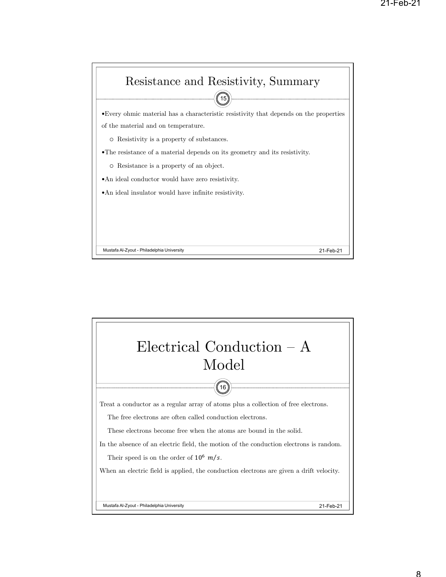

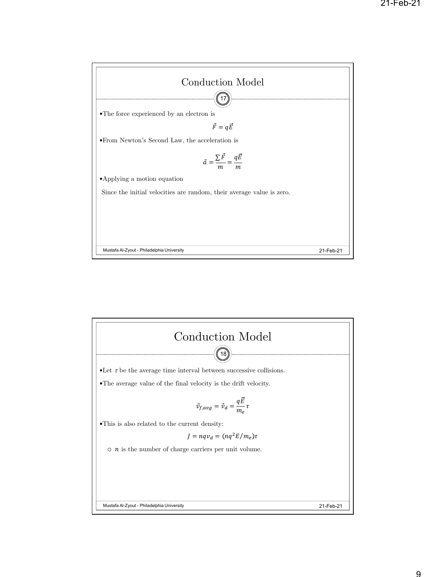

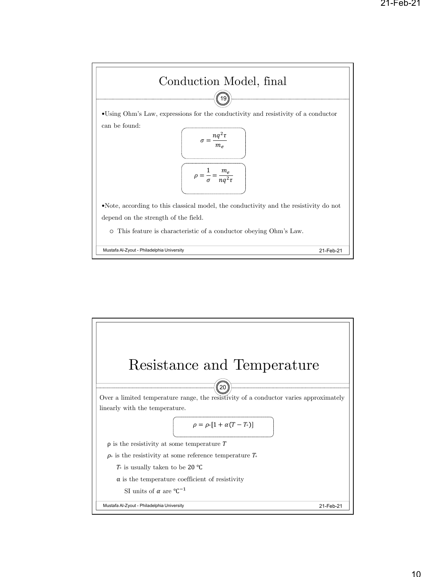

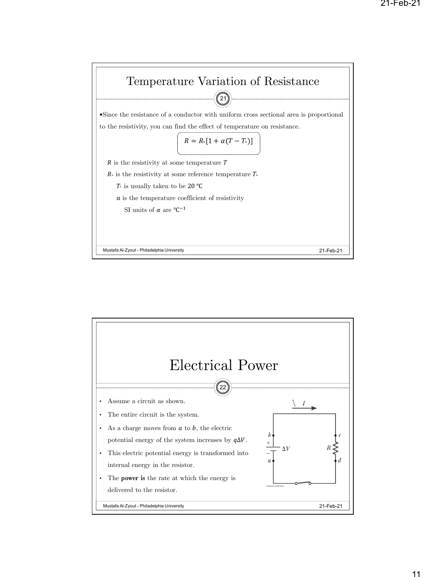